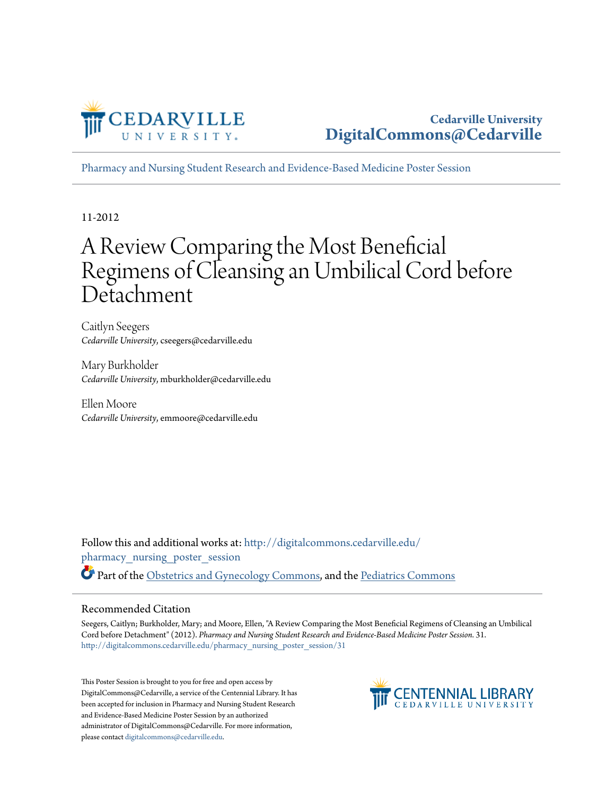

[Pharmacy and Nursing Student Research and Evidence-Based Medicine Poster Session](http://digitalcommons.cedarville.edu/pharmacy_nursing_poster_session?utm_source=digitalcommons.cedarville.edu%2Fpharmacy_nursing_poster_session%2F31&utm_medium=PDF&utm_campaign=PDFCoverPages)

11-2012

#### A Review Comparing the Most Beneficial Regimens of Cleansing an Umbilical Cord before Detachment

Caitlyn Seegers *Cedarville University*, cseegers@cedarville.edu

Mary Burkholder *Cedarville University*, mburkholder@cedarville.edu

Ellen Moore *Cedarville University*, emmoore@cedarville.edu

Follow this and additional works at: [http://digitalcommons.cedarville.edu/](http://digitalcommons.cedarville.edu/pharmacy_nursing_poster_session?utm_source=digitalcommons.cedarville.edu%2Fpharmacy_nursing_poster_session%2F31&utm_medium=PDF&utm_campaign=PDFCoverPages) [pharmacy\\_nursing\\_poster\\_session](http://digitalcommons.cedarville.edu/pharmacy_nursing_poster_session?utm_source=digitalcommons.cedarville.edu%2Fpharmacy_nursing_poster_session%2F31&utm_medium=PDF&utm_campaign=PDFCoverPages) Part of the [Obstetrics and Gynecology Commons,](http://network.bepress.com/hgg/discipline/693?utm_source=digitalcommons.cedarville.edu%2Fpharmacy_nursing_poster_session%2F31&utm_medium=PDF&utm_campaign=PDFCoverPages) and the [Pediatrics Commons](http://network.bepress.com/hgg/discipline/700?utm_source=digitalcommons.cedarville.edu%2Fpharmacy_nursing_poster_session%2F31&utm_medium=PDF&utm_campaign=PDFCoverPages)

#### Recommended Citation

Seegers, Caitlyn; Burkholder, Mary; and Moore, Ellen, "A Review Comparing the Most Beneficial Regimens of Cleansing an Umbilical Cord before Detachment" (2012). *Pharmacy and Nursing Student Research and Evidence-Based Medicine Poster Session*. 31. [http://digitalcommons.cedarville.edu/pharmacy\\_nursing\\_poster\\_session/31](http://digitalcommons.cedarville.edu/pharmacy_nursing_poster_session/31?utm_source=digitalcommons.cedarville.edu%2Fpharmacy_nursing_poster_session%2F31&utm_medium=PDF&utm_campaign=PDFCoverPages)

This Poster Session is brought to you for free and open access by DigitalCommons@Cedarville, a service of the Centennial Library. It has been accepted for inclusion in Pharmacy and Nursing Student Research and Evidence-Based Medicine Poster Session by an authorized administrator of DigitalCommons@Cedarville. For more information, please contact [digitalcommons@cedarville.edu.](mailto:digitalcommons@cedarville.edu)